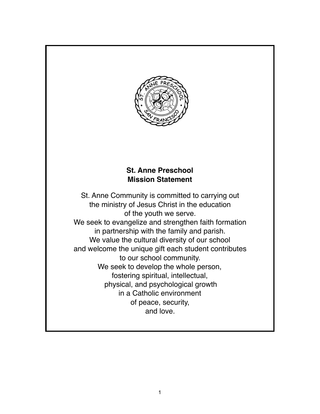

# **St. Anne Preschool Mission Statement**

St. Anne Community is committed to carrying out the ministry of Jesus Christ in the education of the youth we serve. We seek to evangelize and strengthen faith formation in partnership with the family and parish. We value the cultural diversity of our school and welcome the unique gift each student contributes to our school community. We seek to develop the whole person, fostering spiritual, intellectual, physical, and psychological growth in a Catholic environment of peace, security, and love.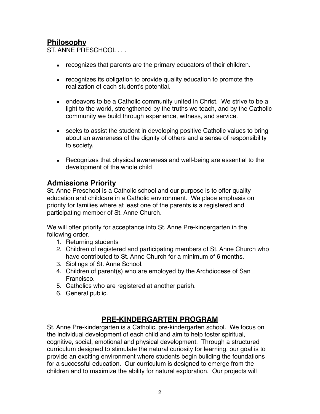# **Philosophy**

ST. ANNE PRESCHOOL . . .

- **EXECOGNIZER** that parents are the primary educators of their children.
- **EXECOM** recognizes its obligation to provide quality education to promote the realization of each student's potential.
- endeavors to be a Catholic community united in Christ. We strive to be a light to the world, strengthened by the truths we teach, and by the Catholic community we build through experience, witness, and service.
- seeks to assist the student in developing positive Catholic values to bring about an awareness of the dignity of others and a sense of responsibility to society.
- Recognizes that physical awareness and well-being are essential to the development of the whole child

### **Admissions Priority**

St. Anne Preschool is a Catholic school and our purpose is to offer quality education and childcare in a Catholic environment. We place emphasis on priority for families where at least one of the parents is a registered and participating member of St. Anne Church.

We will offer priority for acceptance into St. Anne Pre-kindergarten in the following order.

- 1. Returning students
- 2. Children of registered and participating members of St. Anne Church who have contributed to St. Anne Church for a minimum of 6 months.
- 3. Siblings of St. Anne School.
- 4. Children of parent(s) who are employed by the Archdiocese of San Francisco.
- 5. Catholics who are registered at another parish.
- 6. General public.

## **PRE-KINDERGARTEN PROGRAM**

St. Anne Pre-kindergarten is a Catholic, pre-kindergarten school. We focus on the individual development of each child and aim to help foster spiritual, cognitive, social, emotional and physical development. Through a structured curriculum designed to stimulate the natural curiosity for learning, our goal is to provide an exciting environment where students begin building the foundations for a successful education. Our curriculum is designed to emerge from the children and to maximize the ability for natural exploration. Our projects will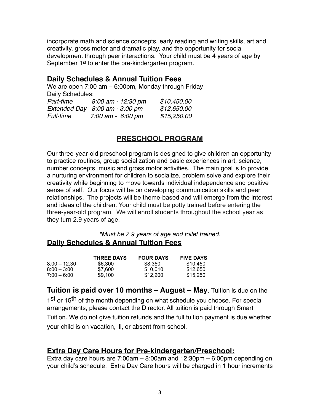incorporate math and science concepts, early reading and writing skills, art and creativity, gross motor and dramatic play, and the opportunity for social development through peer interactions. Your child must be 4 years of age by September 1<sup>st</sup> to enter the pre-kindergarten program.

### **Daily Schedules & Annual Tuition Fees**

We are open 7:00 am – 6:00pm, Monday through Friday Daily Schedules: *Part-time 8:00 am - 12:30 pm \$10,450.00 Extended Day 8:00 am - 3:00 pm \$12,650.00*

*Full-time 7:00 am - 6:00 pm \$15,250.00*

# **PRESCHOOL PROGRAM**

Our three-year-old preschool program is designed to give children an opportunity to practice routines, group socialization and basic experiences in art, science, number concepts, music and gross motor activities. The main goal is to provide a nurturing environment for children to socialize, problem solve and explore their creativity while beginning to move towards individual independence and positive sense of self. Our focus will be on developing communication skills and peer relationships. The projects will be theme-based and will emerge from the interest and ideas of the children. Your child must be potty trained before entering the three-year-old program. We will enroll students throughout the school year as they turn 2.9 years of age.

*\*Must be 2.9 years of age and toilet trained.*  **Daily Schedules & Annual Tuition Fees**

|                | <b>THREE DAYS</b> | <b>FOUR DAYS</b> | <b>FIVE DAYS</b> |
|----------------|-------------------|------------------|------------------|
| $8:00 - 12:30$ | \$6.300           | \$8,350          | \$10.450         |
| $8:00 - 3:00$  | \$7.600           | \$10.010         | \$12.650         |
| $7:00 - 6:00$  | \$9.100           | \$12,200         | \$15,250         |

**Tuition is paid over 10 months – August – May**. Tuition is due on the 1st or 15<sup>th</sup> of the month depending on what schedule you choose. For special arrangements, please contact the Director. All tuition is paid through Smart Tuition. We do not give tuition refunds and the full tuition payment is due whether your child is on vacation, ill, or absent from school.

#### **Extra Day Care Hours for Pre-kindergarten/Preschool:**

Extra day care hours are 7:00am – 8:00am and 12:30pm – 6:00pm depending on your child's schedule. Extra Day Care hours will be charged in 1 hour increments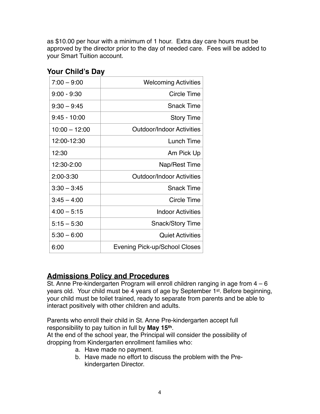as \$10.00 per hour with a minimum of 1 hour. Extra day care hours must be approved by the director prior to the day of needed care. Fees will be added to your Smart Tuition account.

| $7:00 - 9:00$   | <b>Welcoming Activities</b>          |
|-----------------|--------------------------------------|
| $9:00 - 9:30$   | <b>Circle Time</b>                   |
| $9:30 - 9:45$   | <b>Snack Time</b>                    |
| $9:45 - 10:00$  | <b>Story Time</b>                    |
| $10:00 - 12:00$ | <b>Outdoor/Indoor Activities</b>     |
| 12:00-12:30     | Lunch Time                           |
| 12:30           | Am Pick Up                           |
| 12:30-2:00      | Nap/Rest Time                        |
| 2:00-3:30       | <b>Outdoor/Indoor Activities</b>     |
| $3:30 - 3:45$   | <b>Snack Time</b>                    |
| $3:45 - 4:00$   | Circle Time                          |
| $4:00 - 5:15$   | <b>Indoor Activities</b>             |
| $5:15 - 5:30$   | <b>Snack/Story Time</b>              |
| $5:30 - 6:00$   | <b>Quiet Activities</b>              |
| 6:00            | <b>Evening Pick-up/School Closes</b> |
|                 |                                      |

### **Your Child's Day**

#### **Admissions Policy and Procedures**

St. Anne Pre-kindergarten Program will enroll children ranging in age from 4 – 6 years old. Your child must be 4 years of age by September 1st. Before beginning, your child must be toilet trained, ready to separate from parents and be able to interact positively with other children and adults.

Parents who enroll their child in St. Anne Pre-kindergarten accept full responsibility to pay tuition in full by **May 15th**.

At the end of the school year, the Principal will consider the possibility of dropping from Kindergarten enrollment families who:

- a. Have made no payment.
- b. Have made no effort to discuss the problem with the Prekindergarten Director.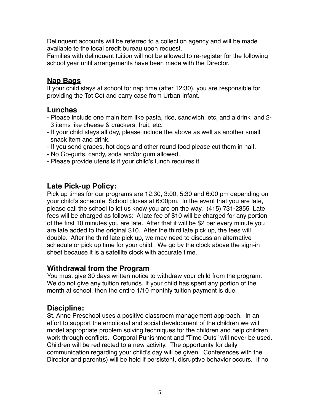Delinquent accounts will be referred to a collection agency and will be made available to the local credit bureau upon request.

Families with delinquent tuition will not be allowed to re-register for the following school year until arrangements have been made with the Director.

### **Nap Bags**

If your child stays at school for nap time (after 12:30), you are responsible for providing the Tot Cot and carry case from Urban Infant.

### **Lunches**

- Please include one main item like pasta, rice, sandwich, etc, and a drink and 2- 3 items like cheese & crackers, fruit, etc.
- If your child stays all day, please include the above as well as another small snack item and drink.
- If you send grapes, hot dogs and other round food please cut them in half.
- No Go-gurts, candy, soda and/or gum allowed.
- Please provide utensils if your child's lunch requires it.

# **Late Pick-up Policy:**

Pick up times for our programs are 12:30, 3:00, 5:30 and 6:00 pm depending on your child's schedule. School closes at 6:00pm. In the event that you are late, please call the school to let us know you are on the way. (415) 731-2355 Late fees will be charged as follows: A late fee of \$10 will be charged for any portion of the first 10 minutes you are late. After that it will be \$2 per every minute you are late added to the original \$10. After the third late pick up, the fees will double. After the third late pick up, we may need to discuss an alternative schedule or pick up time for your child. We go by the clock above the sign-in sheet because it is a satellite clock with accurate time.

#### **Withdrawal from the Program**

You must give 30 days written notice to withdraw your child from the program. We do not give any tuition refunds. If your child has spent any portion of the month at school, then the entire 1/10 monthly tuition payment is due.

## **Discipline:**

St. Anne Preschool uses a positive classroom management approach. In an effort to support the emotional and social development of the children we will model appropriate problem solving techniques for the children and help children work through conflicts. Corporal Punishment and "Time Outs" will never be used. Children will be redirected to a new activity. The opportunity for daily communication regarding your child's day will be given. Conferences with the Director and parent(s) will be held if persistent, disruptive behavior occurs. If no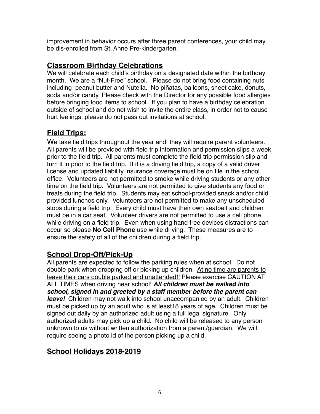improvement in behavior occurs after three parent conferences, your child may be dis-enrolled from St. Anne Pre-kindergarten.

# **Classroom Birthday Celebrations**

We will celebrate each child's birthday on a designated date within the birthday month. We are a "Nut-Free" school. Please do not bring food containing nuts including peanut butter and Nutella. No piñatas, balloons, sheet cake, donuts, soda and/or candy. Please check with the Director for any possible food allergies before bringing food items to school. If you plan to have a birthday celebration outside of school and do not wish to invite the entire class, in order not to cause hurt feelings, please do not pass out invitations at school.

# **Field Trips:**

We take field trips throughout the year and they will require parent volunteers. All parents will be provided with field trip information and permission slips a week prior to the field trip. All parents must complete the field trip permission slip and turn it in prior to the field trip. If it is a driving field trip, a copy of a valid driver' license and updated liability insurance coverage must be on file in the school office. Volunteers are not permitted to smoke while driving students or any other time on the field trip. Volunteers are not permitted to give students any food or treats during the field trip. Students may eat school-provided snack and/or child provided lunches only. Volunteers are not permitted to make any unscheduled stops during a field trip. Every child must have their own seatbelt and children must be in a car seat. Volunteer drivers are not permitted to use a cell phone while driving on a field trip. Even when using hand free devices distractions can occur so please **No Cell Phone** use while driving. These measures are to ensure the safety of all of the children during a field trip.

# **School Drop-Off/Pick-Up**

All parents are expected to follow the parking rules when at school. Do not double park when dropping off or picking up children. At no time are parents to leave their cars double parked and unattended!! Please exercise CAUTION AT ALL TIMES when driving near school! *All children must be walked into school, signed in and greeted by a staff member before the parent can leave!* Children may not walk into school unaccompanied by an adult. Children must be picked up by an adult who is at least18 years of age. Children must be signed out daily by an authorized adult using a full legal signature. Only authorized adults may pick up a child. No child will be released to any person unknown to us without written authorization from a parent/guardian. We will require seeing a photo id of the person picking up a child.

# **School Holidays 2018-2019**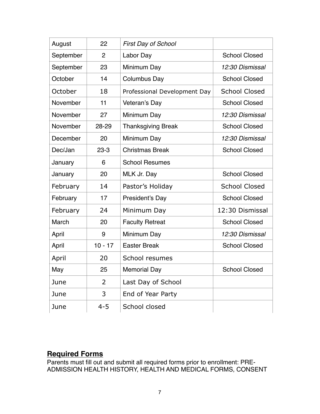| August    | 22             | <b>First Day of School</b>   |                      |
|-----------|----------------|------------------------------|----------------------|
| September | $\overline{2}$ | Labor Day                    | <b>School Closed</b> |
| September | 23             | Minimum Day                  | 12:30 Dismissal      |
| October   | 14             | Columbus Day                 | <b>School Closed</b> |
| October   | 18             | Professional Development Day | <b>School Closed</b> |
| November  | 11             | Veteran's Day                | <b>School Closed</b> |
| November  | 27             | Minimum Day                  | 12:30 Dismissal      |
| November  | 28-29          | <b>Thanksgiving Break</b>    | <b>School Closed</b> |
| December  | 20             | Minimum Day                  | 12:30 Dismissal      |
| Dec/Jan   | $23 - 3$       | <b>Christmas Break</b>       | <b>School Closed</b> |
| January   | 6              | <b>School Resumes</b>        |                      |
| January   | 20             | MLK Jr. Day                  | <b>School Closed</b> |
| February  | 14             | Pastor's Holiday             | <b>School Closed</b> |
| February  | 17             | President's Day              | <b>School Closed</b> |
| February  | 24             | Minimum Day                  | 12:30 Dismissal      |
| March     | 20             | <b>Faculty Retreat</b>       | <b>School Closed</b> |
| April     | 9              | Minimum Day                  | 12:30 Dismissal      |
| April     | $10 - 17$      | <b>Easter Break</b>          | <b>School Closed</b> |
| April     | 20             | School resumes               |                      |
| May       | 25             | <b>Memorial Day</b>          | <b>School Closed</b> |
| June      | $\overline{2}$ | Last Day of School           |                      |
| June      | 3              | End of Year Party            |                      |
| June      | $4 - 5$        | School closed                |                      |
|           |                |                              |                      |

# **Required Forms**

Parents must fill out and submit all required forms prior to enrollment: PRE-ADMISSION HEALTH HISTORY, HEALTH AND MEDICAL FORMS, CONSENT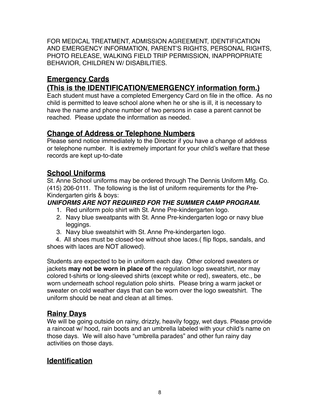FOR MEDICAL TREATMENT, ADMISSION AGREEMENT, IDENTIFICATION AND EMERGENCY INFORMATION, PARENT'S RIGHTS, PERSONAL RIGHTS, PHOTO RELEASE, WALKING FIELD TRIP PERMISSION, INAPPROPRIATE BEHAVIOR, CHILDREN W/ DISABILITIES.

# **Emergency Cards**

# **(This is the IDENTIFICATION/EMERGENCY information form.)**

Each student must have a completed Emergency Card on file in the office. As no child is permitted to leave school alone when he or she is ill, it is necessary to have the name and phone number of two persons in case a parent cannot be reached. Please update the information as needed.

## **Change of Address or Telephone Numbers**

Please send notice immediately to the Director if you have a change of address or telephone number. It is extremely important for your child's welfare that these records are kept up-to-date

# **School Uniforms**

St. Anne School uniforms may be ordered through The Dennis Uniform Mfg. Co. (415) 206-0111. The following is the list of uniform requirements for the Pre-Kindergarten girls & boys:

#### *UNIFORMS ARE NOT REQUIRED FOR THE SUMMER CAMP PROGRAM.*

- 1. Red uniform polo shirt with St. Anne Pre-kindergarten logo.
- 2. Navy blue sweatpants with St. Anne Pre-kindergarten logo or navy blue leggings.
- 3. Navy blue sweatshirt with St. Anne Pre-kindergarten logo.

 4. All shoes must be closed-toe without shoe laces.( flip flops, sandals, and shoes with laces are NOT allowed).

Students are expected to be in uniform each day. Other colored sweaters or jackets **may not be worn in place of** the regulation logo sweatshirt, nor may colored t-shirts or long-sleeved shirts (except white or red), sweaters, etc., be worn underneath school regulation polo shirts. Please bring a warm jacket or sweater on cold weather days that can be worn over the logo sweatshirt. The uniform should be neat and clean at all times.

## **Rainy Days**

We will be going outside on rainy, drizzly, heavily foggy, wet days. Please provide a raincoat w/ hood, rain boots and an umbrella labeled with your child's name on those days. We will also have "umbrella parades" and other fun rainy day activities on those days.

# **Identification**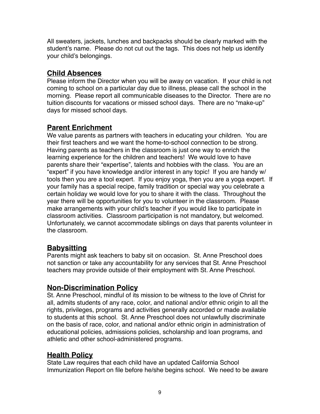All sweaters, jackets, lunches and backpacks should be clearly marked with the student's name. Please do not cut out the tags. This does not help us identify your child's belongings.

# **Child Absences**

Please inform the Director when you will be away on vacation. If your child is not coming to school on a particular day due to illness, please call the school in the morning. Please report all communicable diseases to the Director. There are no tuition discounts for vacations or missed school days. There are no "make-up" days for missed school days.

# **Parent Enrichment**

We value parents as partners with teachers in educating your children. You are their first teachers and we want the home-to-school connection to be strong. Having parents as teachers in the classroom is just one way to enrich the learning experience for the children and teachers! We would love to have parents share their "expertise", talents and hobbies with the class. You are an "expert" if you have knowledge and/or interest in any topic! If you are handy w/ tools then you are a tool expert. If you enjoy yoga, then you are a yoga expert. If your family has a special recipe, family tradition or special way you celebrate a certain holiday we would love for you to share it with the class. Throughout the year there will be opportunities for you to volunteer in the classroom. Please make arrangements with your child's teacher if you would like to participate in classroom activities. Classroom participation is not mandatory, but welcomed. Unfortunately, we cannot accommodate siblings on days that parents volunteer in the classroom.

# **Babysitting**

Parents might ask teachers to baby sit on occasion. St. Anne Preschool does not sanction or take any accountability for any services that St. Anne Preschool teachers may provide outside of their employment with St. Anne Preschool.

# **Non-Discrimination Policy**

St. Anne Preschool, mindful of its mission to be witness to the love of Christ for all, admits students of any race, color, and national and/or ethnic origin to all the rights, privileges, programs and activities generally accorded or made available to students at this school. St. Anne Preschool does not unlawfully discriminate on the basis of race, color, and national and/or ethnic origin in administration of educational policies, admissions policies, scholarship and loan programs, and athletic and other school-administered programs.

# **Health Policy**

State Law requires that each child have an updated California School Immunization Report on file before he/she begins school. We need to be aware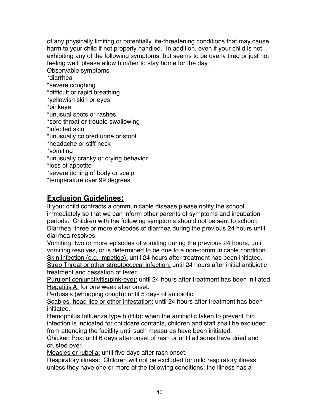of any physically limiting or potentially life-threatening conditions that may cause harm to your child if not properly handled. In addition, even if your child is not exhibiting any of the following symptoms, but seems to be overly tired or just not feeling well, please allow him/her to stay home for the day. Observable symptoms \*diarrhea \*severe coughing \*difficult or rapid breathing \*yellowish skin or eyes \*pinkeye \*unusual spots or rashes \*sore throat or trouble swallowing \*infected skin \*unusually colored urine or stool \*headache or stiff neck \*vomiting \*unusually cranky or crying behavior \*loss of appetite \*severe itching of body or scalp \*temperature over 99 degrees

### **Exclusion Guidelines:**

If your child contracts a communicable disease please notify the school immediately so that we can inform other parents of symptoms and incubation periods. Children with the following symptoms should not be sent to school: Diarrhea: three or more episodes of diarrhea during the previous 24 hours until diarrhea resolves.

Vomiting: two or more episodes of vomiting during the previous 24 hours, until vomiting resolves, or is determined to be due to a non-communicable condition. Skin infection (e.g. impetigo): until 24 hours after treatment has been initiated. Strep Throat or other streptococcal infection: until 24 hours after initial antibiotic treatment and cessation of fever.

Purulent conjunctivitis(pink-eye): until 24 hours after treatment has been initiated. Hepatitis A: for one week after onset.

Pertussis (whooping cough): until 5 days of antibiotic.

Scabies, head lice or other infestation: until 24 hours after treatment has been initiated.

Hemophilus Influenza type b (Hib): when the antibiotic taken to prevent Hib infection is indicated for childcare contacts, children and staff shall be excluded from attending the facitlity until such measures have been initiated.

Chicken Pox: until 6 days after onset of rash or until all sores have dried and crusted over.

Measles or rubella: until five days after rash onset.

Respiratory illness: Children will not be excluded for mild respiratory illness unless they have one or more of the following conditions; the illness has a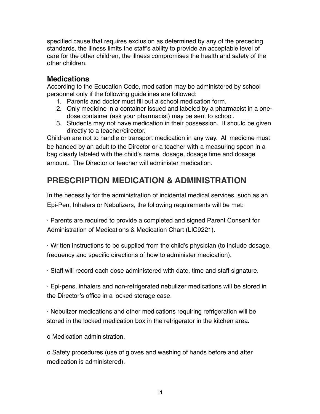specified cause that requires exclusion as determined by any of the preceding standards, the illness limits the staff's ability to provide an acceptable level of care for the other children, the illness compromises the health and safety of the other children.

### **Medications**

According to the Education Code, medication may be administered by school personnel only if the following guidelines are followed:

- 1. Parents and doctor must fill out a school medication form.
- 2. Only medicine in a container issued and labeled by a pharmacist in a onedose container (ask your pharmacist) may be sent to school.
- 3. Students may not have medication in their possession. It should be given directly to a teacher/director.

Children are not to handle or transport medication in any way. All medicine must be handed by an adult to the Director or a teacher with a measuring spoon in a bag clearly labeled with the child's name, dosage, dosage time and dosage amount. The Director or teacher will administer medication.

# **PRESCRIPTION MEDICATION & ADMINISTRATION**

In the necessity for the administration of incidental medical services, such as an Epi-Pen, Inhalers or Nebulizers, the following requirements will be met:

· Parents are required to provide a completed and signed Parent Consent for Administration of Medications & Medication Chart (LIC9221).

· Written instructions to be supplied from the child's physician (to include dosage, frequency and specific directions of how to administer medication).

· Staff will record each dose administered with date, time and staff signature.

· Epi-pens, inhalers and non-refrigerated nebulizer medications will be stored in the Director's office in a locked storage case.

· Nebulizer medications and other medications requiring refrigeration will be stored in the locked medication box in the refrigerator in the kitchen area.

o Medication administration.

o Safety procedures (use of gloves and washing of hands before and after medication is administered).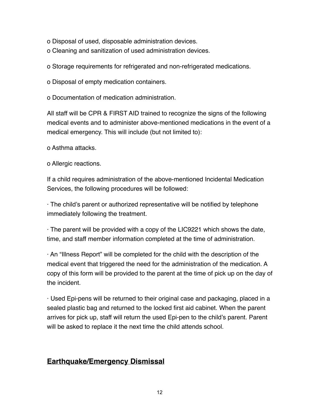o Disposal of used, disposable administration devices.

o Cleaning and sanitization of used administration devices.

o Storage requirements for refrigerated and non-refrigerated medications.

o Disposal of empty medication containers.

o Documentation of medication administration.

All staff will be CPR & FIRST AID trained to recognize the signs of the following medical events and to administer above-mentioned medications in the event of a medical emergency. This will include (but not limited to):

o Asthma attacks.

o Allergic reactions.

If a child requires administration of the above-mentioned Incidental Medication Services, the following procedures will be followed:

· The child's parent or authorized representative will be notified by telephone immediately following the treatment.

· The parent will be provided with a copy of the LIC9221 which shows the date, time, and staff member information completed at the time of administration.

· An "Illness Report" will be completed for the child with the description of the medical event that triggered the need for the administration of the medication. A copy of this form will be provided to the parent at the time of pick up on the day of the incident.

· Used Epi-pens will be returned to their original case and packaging, placed in a sealed plastic bag and returned to the locked first aid cabinet. When the parent arrives for pick up, staff will return the used Epi-pen to the child's parent. Parent will be asked to replace it the next time the child attends school.

## **Earthquake/Emergency Dismissal**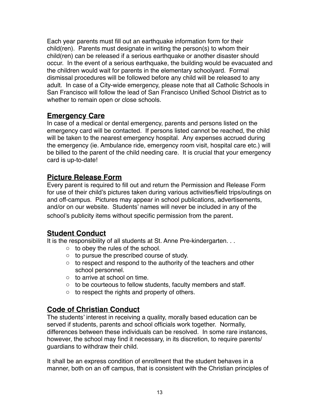Each year parents must fill out an earthquake information form for their child(ren). Parents must designate in writing the person(s) to whom their child(ren) can be released if a serious earthquake or another disaster should occur. In the event of a serious earthquake, the building would be evacuated and the children would wait for parents in the elementary schoolyard. Formal dismissal procedures will be followed before any child will be released to any adult. In case of a City-wide emergency, please note that all Catholic Schools in San Francisco will follow the lead of San Francisco Unified School District as to whether to remain open or close schools.

### **Emergency Care**

In case of a medical or dental emergency, parents and persons listed on the emergency card will be contacted. If persons listed cannot be reached, the child will be taken to the nearest emergency hospital. Any expenses accrued during the emergency (ie. Ambulance ride, emergency room visit, hospital care etc.) will be billed to the parent of the child needing care. It is crucial that your emergency card is up-to-date!

# **Picture Release Form**

Every parent is required to fill out and return the Permission and Release Form for use of their child's pictures taken during various activities/field trips/outings on and off-campus. Pictures may appear in school publications, advertisements, and/or on our website. Students' names will never be included in any of the school's publicity items without specific permission from the parent.

## **Student Conduct**

It is the responsibility of all students at St. Anne Pre-kindergarten. . .

- o to obey the rules of the school.
- o to pursue the prescribed course of study.
- $\circ$  to respect and respond to the authority of the teachers and other school personnel.
- o to arrive at school on time.
- o to be courteous to fellow students, faculty members and staff.
- $\circ$  to respect the rights and property of others.

# **Code of Christian Conduct**

The students' interest in receiving a quality, morally based education can be served if students, parents and school officials work together. Normally, differences between these individuals can be resolved. In some rare instances, however, the school may find it necessary, in its discretion, to require parents/ guardians to withdraw their child.

It shall be an express condition of enrollment that the student behaves in a manner, both on an off campus, that is consistent with the Christian principles of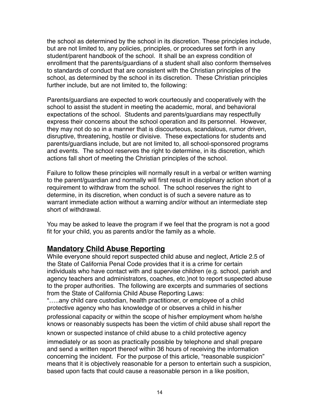the school as determined by the school in its discretion. These principles include, but are not limited to, any policies, principles, or procedures set forth in any student/parent handbook of the school. It shall be an express condition of enrollment that the parents/guardians of a student shall also conform themselves to standards of conduct that are consistent with the Christian principles of the school, as determined by the school in its discretion. These Christian principles further include, but are not limited to, the following:

Parents/guardians are expected to work courteously and cooperatively with the school to assist the student in meeting the academic, moral, and behavioral expectations of the school. Students and parents/guardians may respectfully express their concerns about the school operation and its personnel. However, they may not do so in a manner that is discourteous, scandalous, rumor driven, disruptive, threatening, hostile or divisive. These expectations for students and parents/guardians include, but are not limited to, all school-sponsored programs and events. The school reserves the right to determine, in its discretion, which actions fall short of meeting the Christian principles of the school.

Failure to follow these principles will normally result in a verbal or written warning to the parent/guardian and normally will first result in disciplinary action short of a requirement to withdraw from the school. The school reserves the right to determine, in its discretion, when conduct is of such a severe nature as to warrant immediate action without a warning and/or without an intermediate step short of withdrawal.

You may be asked to leave the program if we feel that the program is not a good fit for your child, you as parents and/or the family as a whole.

## **Mandatory Child Abuse Reporting**

While everyone should report suspected child abuse and neglect, Article 2.5 of the State of California Penal Code provides that it is a crime for certain individuals who have contact with and supervise children (e.g. school, parish and agency teachers and administrators, coaches, etc.)not to report suspected abuse to the proper authorities. The following are excerpts and summaries of sections from the State of California Child Abuse Reporting Laws:

"…..any child care custodian, health practitioner, or employee of a child protective agency who has knowledge of or observes a child in his/her professional capacity or within the scope of his/her employment whom he/she knows or reasonably suspects has been the victim of child abuse shall report the known or suspected instance of child abuse to a child protective agency immediately or as soon as practically possible by telephone and shall prepare and send a written report thereof within 36 hours of receiving the information concerning the incident. For the purpose of this article, "reasonable suspicion" means that it is objectively reasonable for a person to entertain such a suspicion, based upon facts that could cause a reasonable person in a like position,